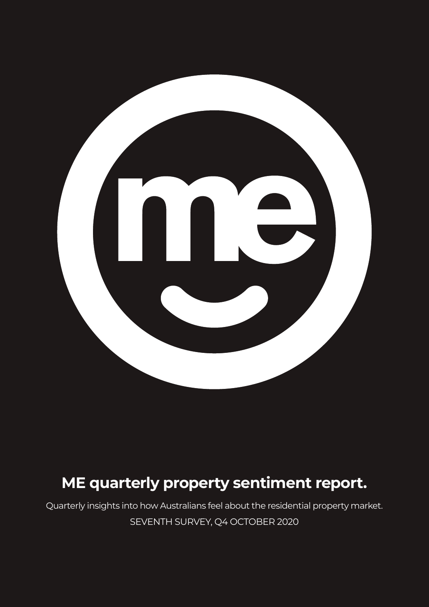

# **ME quarterly property sentiment report.**

Quarterly insights into how Australians feel about the residential property market. SEVENTH SURVEY, Q4 OCTOBER 2020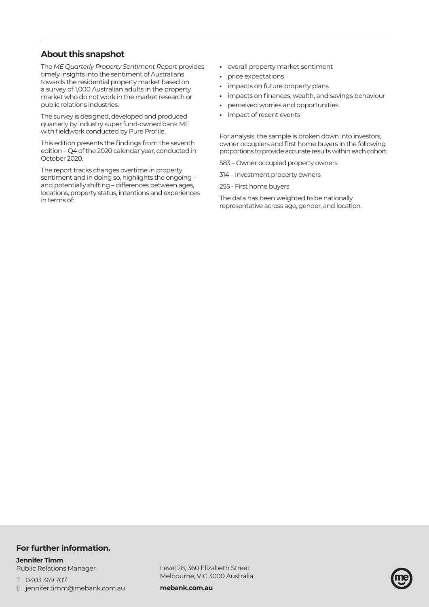# **About this snapshot**

The *ME Quarterly Property Sentiment Report* provides timely insights into the sentiment of Australians towards the residential property market based on a survey of 1,000 Australian adults in the property market who do not work in the market research or public relations industries.

The survey is designed, developed and produced quarterly by industry super fund-owned bank ME with fieldwork conducted by Pure Profile.

This edition presents the findings from the seventh edition – Q4 of the 2020 calendar year, conducted in October 2020.

The report tracks changes overtime in property sentiment and in doing so, highlights the ongoing – and potentially shifting – differences between ages, locations, property status, intentions and experiences in terms of:

- **•** overall property market sentiment
- **•** price expectations
- **•** impacts on future property plans
- **•** impacts on finances, wealth, and savings behaviour
- **•** perceived worries and opportunities
- **•** impact of recent events

For analysis, the sample is broken down into investors, owner occupiers and first home buyers in the following proportions to provide accurate results within each cohort:

583 – Owner occupied property owners

- 314 Investment property owners
- 255 First home buyers

The data has been weighted to be nationally representative across age, gender, and location.

### **For further information.**

#### **Jennifer Timm**  Public Relations Manager

T 0403 369 707

E jennifer.timm@mebank.com.au

Level 28, 360 Elizabeth Street Melbourne, VIC 3000 Australia

**mebank.com.au**

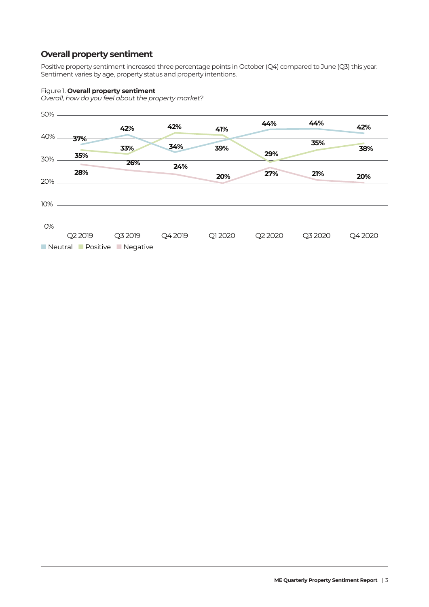# **Overall property sentiment**

Positive property sentiment increased three percentage points in October (Q4) compared to June (Q3) this year. Sentiment varies by age, property status and property intentions.

### Figure 1. **Overall property sentiment**

*Overall, how do you feel about the property market?*

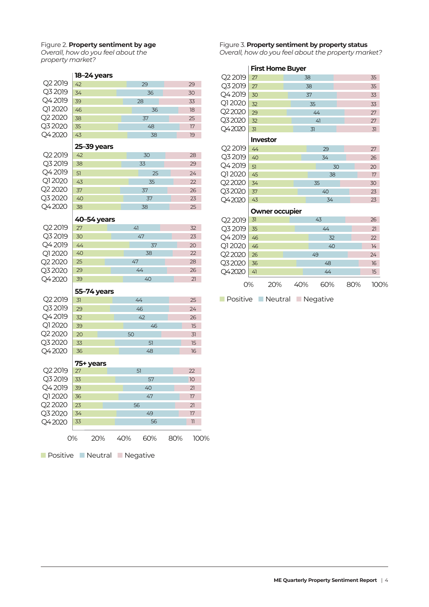# Figure 2. **Property sentiment by age**

*Overall, how do you feel about the property market?*

|         | 18-24 years |    |    |
|---------|-------------|----|----|
| Q2 2019 | 42          | 29 | 29 |
| Q3 2019 | 34          | 36 | 30 |
| Q4 2019 | 39          | 28 | 33 |
| Q12020  | 46          | 36 | 18 |
| Q2 2020 | 38          | 37 | 25 |
| Q3 2020 | 35          | 48 | 17 |
| Q42020  | 43          | 38 | 19 |
|         | 25-39 years |    |    |
| Q2 2019 | 42          | 30 | 28 |
| Q3 2019 | 38          | 33 | 29 |
| Q42019  | 51          | 25 | 24 |
| Q12020  | 43          | 35 | 22 |
| Q2 2020 | 37          | 37 | 26 |
| Q3 2020 | 40          | 37 | 23 |
| Q42020  | 38          | 38 | 25 |
|         | 40-54 years |    |    |
| Q2 2019 | 27          | 41 | 32 |
| Q3 2019 | 30          | 47 | 23 |
| Q4 2019 | 44          | 37 | 20 |
| Q1 2020 | 40          | 38 | 22 |
| Q2 2020 | 25          | 47 | 28 |
| Q3 2020 | 29          | 44 | 26 |
| Q42020  | 39          | 40 | 21 |
|         |             |    |    |

### **55–74 years**

| $Q22019$ 31 |    | 44 | 25 |
|-------------|----|----|----|
| Q3 2019     | 29 | 46 | 24 |
| Q4 2019     | 32 | 42 | 26 |
| Q12020      | 39 | 46 | 15 |
| Q2 2020     | 20 | 50 | 31 |
| Q3 2020     | 33 | 51 | 15 |
| Q42020      | 36 | 48 | 16 |
|             |    |    |    |

### **75+ years**

| Q2 2019 | 27 |     |     | 51  |     | 22                       |  |
|---------|----|-----|-----|-----|-----|--------------------------|--|
| Q3 2019 | 33 |     |     | 57  |     | 10                       |  |
| Q42019  | 39 |     |     | 40  |     | 21                       |  |
| Q12020  | 36 |     |     | 47  |     | 17                       |  |
| Q2 2020 | 23 |     | 56  |     |     | 21                       |  |
| Q3 2020 | 34 |     |     | 49  |     | 17                       |  |
| Q42020  | 33 |     |     | 56  |     | $\overline{\phantom{1}}$ |  |
|         |    |     |     |     |     |                          |  |
|         | O% | 20% | 40% | 60% | 80% | 100%                     |  |
|         |    |     |     |     |     |                          |  |

■ Positive ■ Neutral ■ Negative

### Figure 3. **Property sentiment by property status**

*Overall, how do you feel about the property market?*

|         |                 | <b>First Home Buyer</b> |     |     |    |     |                  |  |
|---------|-----------------|-------------------------|-----|-----|----|-----|------------------|--|
| Q2 2019 | 27              |                         | 38  |     |    |     | 35               |  |
| Q3 2019 | 27              |                         | 38  |     |    |     | 35               |  |
| Q42019  | 30              |                         | 37  |     |    |     | 33               |  |
| Q1 2020 | 32              |                         | 35  |     |    |     |                  |  |
| Q22020  | 29              |                         |     | 44  |    |     | 27               |  |
| Q32020  | 32              |                         |     | 41  |    |     | 27               |  |
| Q42020  | 31              |                         | 31  |     |    |     | 31               |  |
|         | <b>Investor</b> |                         |     |     |    |     |                  |  |
| Q2 2019 | 44              |                         |     | 29  |    |     | 27               |  |
| Q3 2019 | 40              |                         |     | 34  |    |     | 26               |  |
| Q4 2019 | 51              |                         |     |     | 30 |     | 20               |  |
| Q1 2020 | 45              |                         |     | 38  |    |     | 17               |  |
| Q22020  | 34              |                         |     | 35  |    |     | 30               |  |
| Q32020  | 37              |                         |     | 40  |    |     | 23               |  |
| Q42020  | 43              |                         |     | 34  |    |     | 23               |  |
|         |                 | Owner occupier          |     |     |    |     |                  |  |
| Q2 2019 | 31              |                         |     | 43  |    |     | 26               |  |
| Q3 2019 | 35              |                         |     | 44  |    |     | 21               |  |
| Q42019  | 46              |                         |     | 32  |    |     | 22               |  |
| Q1 2020 | 46              |                         |     | 40  |    |     | 14               |  |
| Q22020  | 26              | 24<br>49                |     |     |    |     |                  |  |
| Q32020  | 36              |                         |     | 48  |    |     | 16               |  |
| Q42020  | 41              |                         |     | 44  |    |     | 15 <sub>15</sub> |  |
|         | 0%              | 20%                     | 40% | 60% |    | 80% | 100%             |  |

■ Positive ■ Neutral ■ Negative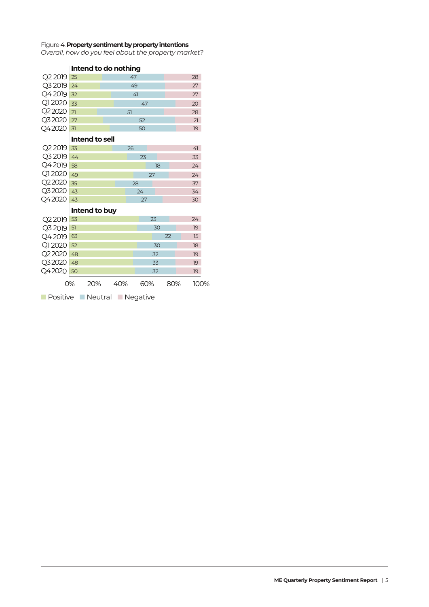#### Figure 4. **Property sentiment by property intentions**

*Overall, how do you feel about the property market?*

|                              |    | intena to ao nothing |  |     |    |     |    |     |      |  |
|------------------------------|----|----------------------|--|-----|----|-----|----|-----|------|--|
| Q22019                       | 25 |                      |  |     | 47 |     |    |     | 28   |  |
| Q32019                       | 24 |                      |  |     | 49 |     |    |     | 27   |  |
| Q4 2019                      | 32 |                      |  |     | 41 |     |    |     | 27   |  |
| Q12020                       | 33 |                      |  |     |    | 47  |    |     | 20   |  |
| Q2 2020                      | 21 |                      |  |     | 51 |     |    |     | 28   |  |
| Q32020                       | 27 |                      |  |     |    | 52  |    |     | 21   |  |
| Q42020                       | 31 |                      |  |     |    | 50  |    |     | 19   |  |
|                              |    | Intend to sell       |  |     |    |     |    |     |      |  |
| Q2 2019                      | 33 |                      |  |     | 26 |     |    |     | 41   |  |
| Q32019                       | 44 |                      |  |     |    | 23  |    |     | 33   |  |
| Q4 2019                      | 58 |                      |  |     |    |     | 18 |     | 24   |  |
| Q1 2020                      | 49 |                      |  |     |    |     | 27 |     | 24   |  |
| Q2 2020                      | 35 |                      |  |     | 28 |     |    |     | 37   |  |
| Q32020                       | 43 |                      |  |     |    | 24  |    |     | 34   |  |
| Q42020                       | 43 |                      |  |     |    | 27  |    |     | 30   |  |
|                              |    | Intend to buy        |  |     |    |     |    |     |      |  |
| Q22019                       | 53 |                      |  |     |    |     | 23 |     | 24   |  |
| Q32019                       | 51 |                      |  |     |    |     | 30 |     | 19   |  |
| Q42019                       | 63 |                      |  |     |    |     |    | 22  | 15   |  |
| Q12020                       | 52 |                      |  |     |    |     | 30 |     | 18   |  |
| Q22020                       | 48 |                      |  |     |    |     | 32 |     | 19   |  |
| Q32020                       | 48 |                      |  |     |    |     | 33 |     | 19   |  |
| Q42020                       | 50 |                      |  |     |    |     | 32 |     | 19   |  |
|                              | 0% | 20%                  |  | 40% |    | 60% |    | 80% | 100% |  |
| Positive<br>Neutral Negative |    |                      |  |     |    |     |    |     |      |  |

# **Intend to do nothing**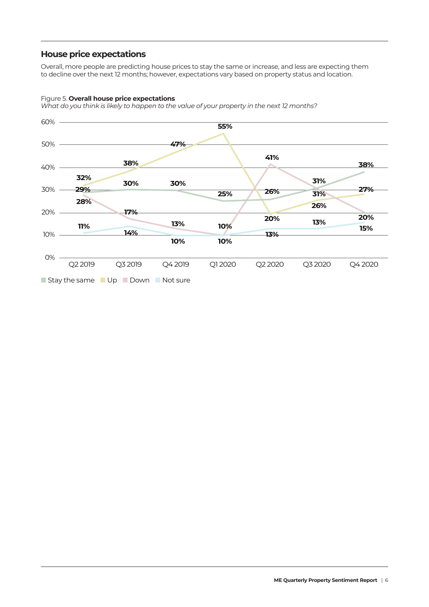### **House price expectations**

Overall, more people are predicting house prices to stay the same or increase, and less are expecting them to decline over the next 12 months; however, expectations vary based on property status and location.

### Figure 5. **Overall house price expectations**

*What do you think is likely to happen to the value of your property in the next 12 months?*

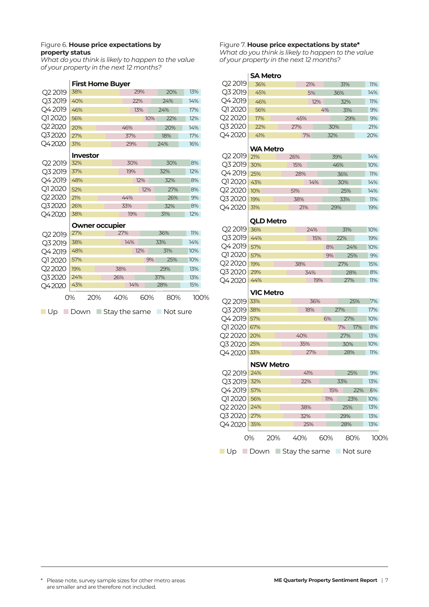### Figure 6. **House price expectations by property status**

*What do you think is likely to happen to the value of your property in the next 12 months?*

### **First Home Buyer**

| Q2 2019             | 38% |                       |     | 29% |     | 20% | 13%  |  |
|---------------------|-----|-----------------------|-----|-----|-----|-----|------|--|
| Q3 2019             | 40% |                       |     | 22% |     | 24% | 14%  |  |
| Q4 2019             | 46% |                       |     | 13% |     | 24% | 17%  |  |
| Q1 2020             | 56% |                       |     |     | 10% | 22% | 12%  |  |
| Q <sub>2</sub> 2020 | 20% |                       | 46% |     |     | 20% | 14%  |  |
| Q32020              | 27% |                       | 37% |     |     | 18% | 17%  |  |
| Q42020              | 31% |                       | 29% |     |     | 24% | 16%  |  |
|                     |     | <b>Investor</b>       |     |     |     |     |      |  |
| Q <sub>2</sub> 2019 | 32% |                       | 30% |     |     | 30% | 8%   |  |
| Q3 2019             | 37% |                       | 19% |     |     | 32% | 12%  |  |
| Q42019              | 48% |                       |     | 12% |     | 32% | 8%   |  |
| Q1 2020             | 52% |                       |     | 12% |     | 27% | 8%   |  |
| Q2 2020             | 21% |                       | 44% |     |     | 26% | 9%   |  |
| Q32020              | 26% |                       | 33% |     |     | 32% | 8%   |  |
| Q42020              | 38% |                       | 19% |     |     | 31% | 12%  |  |
|                     |     | <b>Owner occupier</b> |     |     |     |     |      |  |
| Q2 2019             | 27% |                       | 27% |     |     | 36% | 11%  |  |
| Q3 2019             | 38% |                       | 14% |     |     | 33% | 14%  |  |
| Q42019              | 48% |                       |     | 12% |     | 31% | 10%  |  |
| Q1 2020             | 57% |                       |     |     | 9%  | 25% | 10%  |  |
| Q <sub>2</sub> 2020 | 19% |                       | 38% |     |     | 29% | 13%  |  |
| Q32020              | 24% |                       | 26% |     |     | 37% | 13%  |  |
| Q42020              | 43% |                       |     | 14% |     | 28% | 15%  |  |
|                     | 0%  | 20%                   | 40% | 60% |     | 80% | 100% |  |

■ Up ■ Down ■ Stay the same ■ Not sure

#### Figure 7. **House price expectations by state\***

*What do you think is likely to happen to the value of your property in the next 12 months?*

|                                        |     | <b>SA Metro</b>  |            |     |     |     |     |        |  |
|----------------------------------------|-----|------------------|------------|-----|-----|-----|-----|--------|--|
| Q2 2019                                | 36% |                  |            | 21% |     | 31% |     | 11%    |  |
| Q3 2019                                | 45% |                  |            | 5%  |     | 36% |     | 14%    |  |
| Q42019                                 | 46% |                  |            | 12% |     | 32% |     | 11%    |  |
| Q12020                                 | 56% |                  |            |     | 4%  | 31% |     | 9%     |  |
| Q2 2020                                | 17% |                  | 45%        |     |     | 29% |     | 9%     |  |
| Q3 2020                                | 22% |                  | 27%<br>30% |     |     |     |     | 21%    |  |
| Q42020                                 | 41% |                  | 7%         |     | 32% |     |     | 20%    |  |
|                                        |     |                  |            |     |     |     |     |        |  |
|                                        |     | WA Metro         |            |     |     |     |     |        |  |
| Q2 2019<br>Q3 2019                     | 21% |                  | 26%        |     |     | 39% |     | 14%    |  |
| Q42019                                 | 30% |                  | 15%        |     |     | 46% |     | 10%    |  |
|                                        | 25% |                  | 28%        | 14% |     | 36% |     | 11%    |  |
| Q1 2020                                | 43% |                  |            |     | 30% |     | 14% |        |  |
| Q2 2020                                | 10% |                  | 51%        |     |     | 25% |     | 14%    |  |
| Q3 2020                                | 19% |                  | 38%        |     | 33% |     | 11% |        |  |
| Q42020                                 | 31% |                  | 21%        |     | 29% |     |     | 19%    |  |
|                                        |     | QLD Metro        |            |     |     |     |     |        |  |
| Q2 2019                                | 36% |                  |            | 24% |     | 31% |     | 10%    |  |
| Q3 2019                                | 44% |                  |            | 15% |     | 22% |     | 19%    |  |
| Q4 2019                                | 57% |                  |            |     | 8%  | 24% |     | 10%    |  |
| Q1 2020                                | 57% |                  |            |     | 9%  | 25% |     | 9%     |  |
| Q <sub>2</sub> 2020                    | 19% |                  | 38%        |     |     | 27% |     | 15%    |  |
| Q3 2020                                | 29% |                  |            | 34% |     | 28% |     | 8%     |  |
| Q42020                                 | 44% |                  |            | 19% |     | 27% |     | $11\%$ |  |
|                                        |     |                  |            |     |     |     |     |        |  |
|                                        |     | <b>VIC Metro</b> |            |     |     |     |     |        |  |
| Q2 2019                                | 33% |                  |            | 36% |     |     | 25% | 7%     |  |
| Q3 2019                                | 38% |                  |            | 18% |     | 27% |     | 17%    |  |
| Q4 2019                                | 57% |                  |            |     | 6%  | 27% |     | 10%    |  |
| Q1 2020                                | 67% |                  |            |     |     | 7%  | 17% | 8%     |  |
| Q2 2020                                | 20% |                  | 40%        |     |     | 27% |     | 13%    |  |
| Q3 2020                                | 25% |                  | 35%        |     |     | 30% |     | 10%    |  |
| Q42020                                 | 33% |                  |            | 27% |     | 28% |     | 11%    |  |
|                                        |     | <b>NSW Metro</b> |            |     |     |     |     |        |  |
| Q2 2019                                | 24% |                  |            | 41% |     | 25% |     | 9%     |  |
| Q3 2019                                | 32% |                  | 22%        |     |     | 33% |     | 13%    |  |
| Q42019                                 | 57% |                  |            |     | 15% |     | 22% | 6%     |  |
| Q12020                                 | 56% |                  |            |     | 11% | 23% |     | 10%    |  |
| Q22020                                 | 24% |                  | 38%        |     |     | 25% |     | 13%    |  |
| Q3 2020                                | 27% |                  | 32%        |     |     | 29% |     | 13%    |  |
| Q42020                                 | 35% |                  |            | 25% |     | 28% |     | 13%    |  |
|                                        | 0%  | 20%              | 40%        |     | 60% | 80% |     | 100%   |  |
| ■ Up ■ Down ■ Stay the same ■ Not sure |     |                  |            |     |     |     |     |        |  |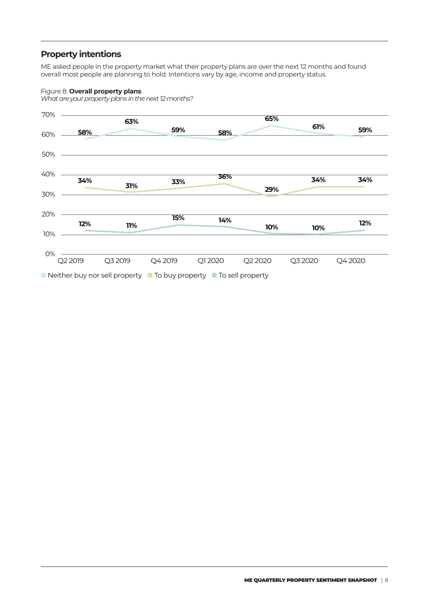# **Property intentions**

ME asked people in the property market what their property plans are over the next 12 months and found overall most people are planning to hold. Intentions vary by age, income and property status.

### Figure 8. **Overall property plans**

*What are your property plans in the next 12 months?*

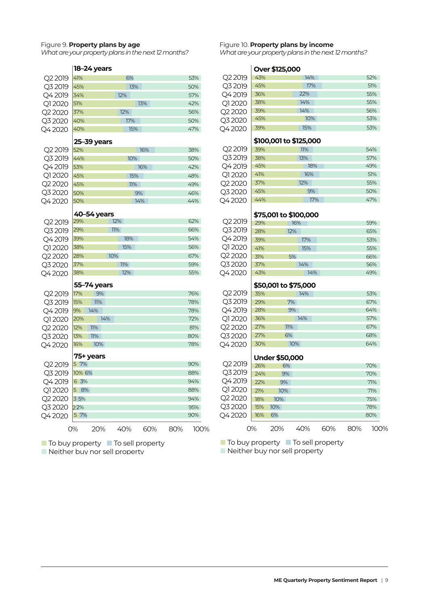#### Figure 9. **Property plans by age**

*What are your property plans in the next 12 months?*

|                                |        | 18-24 years |     |     |     |     |
|--------------------------------|--------|-------------|-----|-----|-----|-----|
| Q2 2019                        | 41%    |             |     | 6%  |     | 53% |
| Q3 2019                        | 45%    |             |     | 13% |     | 50% |
| Q4 2019                        | 34%    |             | 12% |     |     | 57% |
| Q1 2020                        | 51%    |             |     |     | 13% | 42% |
| Q <sub>2</sub> 2020            | 37%    |             |     | 12% |     | 56% |
| Q3 2020                        | 40%    |             |     | 17% |     | 50% |
| O4 2020                        | 40%    |             |     | 15% |     | 47% |
|                                |        | 25-39 years |     |     |     |     |
| Q2 2019                        | 52%    |             |     |     | 16% | 38% |
| Q3 2019                        | 44%    |             |     | 10% |     | 50% |
| Q42019                         | 53%    |             |     |     | 16% | 42% |
| Q1 2020                        | 45%    |             |     | 15% |     | 48% |
| Q <sub>2</sub> 2020            | 45%    |             |     | 11% |     | 49% |
| Q3 2020                        | 50%    |             |     |     | 9%  | 46% |
| Q42020                         | 50%    |             |     |     | 14% | 44% |
|                                |        |             |     |     |     |     |
|                                | 29%    | 40-54 years | 12% |     |     | 62% |
| Q <sub>2</sub> 2019<br>Q3 2019 | 29%    |             | 11% |     |     | 66% |
| Q4 2019                        | 39%    |             |     | 18% |     | 54% |
| Q1 2020                        | 38%    |             |     | 15% |     | 56% |
| Q2 2020                        | 28%    |             | 10% |     |     | 67% |
| Q3 2020                        | 37%    |             |     | 11% |     | 59% |
| O4 2020                        | 38%    |             |     | 12% |     | 55% |
|                                |        |             |     |     |     |     |
|                                |        | 55-74 years |     |     |     |     |
| Q2 2019                        | 17%    | 9%          |     |     |     | 76% |
| Q3 2019                        | 15%    | 11%         |     |     |     | 78% |
| Q42019                         | 9%     | 14%         |     |     |     | 78% |
| Q1 2020                        | 20%    | 14%         |     |     |     | 72% |
| Q2 2020                        | 12%    | 11%         |     |     |     | 81% |
| Q3 2020                        | 13%    | 11%         |     |     |     | 80% |
| Q42020                         | 16%    | 10%         |     |     |     | 78% |
|                                |        | 75+ years   |     |     |     |     |
| Q2 2019                        | 5 7%   |             |     |     |     | 90% |
| Q3 2019                        | 10% 6% |             |     |     |     | 88% |
| Q42019                         | 6 3%   |             |     |     |     | 94% |
| Q1 2020                        | 5 8%   |             |     |     |     | 88% |
| Q2 2020                        | 3 5%   |             |     |     |     | 94% |
| Q3 2020                        | 22%    |             |     |     |     | 95% |
| Q42020                         | 5 7%   |             |     |     |     | 90% |
|                                |        |             |     |     |     |     |

Figure 10. **Property plans by income** *What are your property plans in the next 12 months?*

**Over \$125,000**

| Q2 2019                         | 43% |                        | 14% |     | 52% |
|---------------------------------|-----|------------------------|-----|-----|-----|
| Q3 2019                         | 45% |                        | 17% |     | 51% |
| Q42019                          | 36% |                        | 22% |     | 55% |
| Q12020                          | 38% |                        | 14% |     | 55% |
| Q2 2020                         | 39% |                        | 14% |     | 56% |
| Q3 2020                         | 45% |                        | 10% |     | 53% |
| Q42020                          | 39% |                        | 15% |     | 53% |
|                                 |     | \$100,001 to \$125,000 |     |     |     |
| Q2 2019                         | 39% |                        | 11% |     | 54% |
| Q3 2019                         | 38% |                        | 13% |     | 57% |
| Q42019                          | 45% |                        |     | 18% | 49% |
| O12020                          | 41% |                        | 16% |     | 51% |
| Q2 2020                         | 37% |                        | 12% |     | 55% |
| Q3 2020                         | 45% |                        | 9%  |     | 50% |
| Q4 2020                         | 44% |                        |     | 17% | 47% |
|                                 |     |                        |     |     |     |
|                                 |     | \$75,001 to \$100,000  |     |     |     |
| Q2 2019                         | 29% |                        | 16% |     | 59% |
| Q3 2019                         | 28% |                        | 12% |     | 65% |
| Q42019                          | 39% |                        | 17% |     | 53% |
| Q1 2020                         | 41% |                        | 15% |     | 55% |
| Q2 2020                         | 31% |                        | 5%  |     | 66% |
| Q3 2020                         | 37% |                        | 14% |     | 56% |
| Q42020                          | 43% |                        |     | 14% | 49% |
|                                 |     | \$50,001 to \$75,000   |     |     |     |
| Q2 2019                         | 35% |                        | 14% |     | 53% |
| Q3 2019                         | 29% | 7%                     |     |     | 67% |
| Q42019                          | 28% |                        | 9%  |     | 64% |
| Q1 2020                         | 36% |                        | 14% |     | 57% |
| Q <sub>2</sub> 20 <sub>20</sub> | 27% | 11%                    |     |     | 67% |
| Q3 2020                         | 27% | 6%                     |     |     | 68% |
| Q42020                          | 30% |                        | 10% |     | 64% |
|                                 |     |                        |     |     |     |
|                                 |     | <b>Under \$50,000</b>  |     |     |     |
| Q2 2019                         | 26% | 6%                     |     |     | 70% |
| Q3 2019                         | 24% | 9%                     |     |     | 70% |
| Q4 2019                         | 22% | 9%                     |     |     | 77% |
| Q1 2020                         | 21% | 10%                    |     |     | 71% |
| Q <sub>2</sub> 2020             | 18% | 10%                    |     |     | 75% |
| Q3 2020                         | 15% | 10%                    |     |     | 78% |
| Q42020                          | 16% | 6%                     |     |     | 80% |
|                                 |     |                        |     |     |     |

0% 20% 40% 60% 80% 100% 0% 20% 40% 60% 80% 100%

■ To buy property ■ To sell property

■ Neither buy nor sell property

■ To buy property ■ To sell property

■ Neither buy nor sell property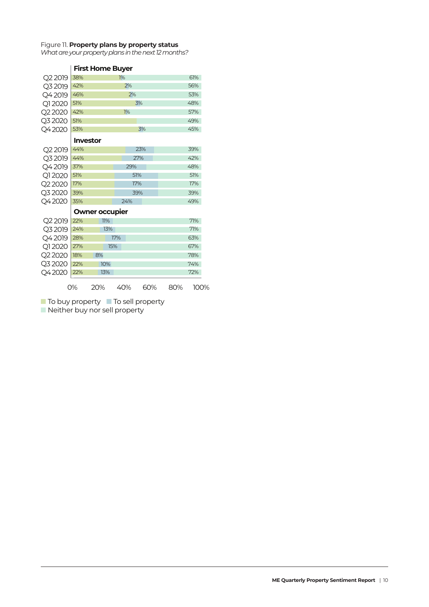### Figure 11. **Property plans by property status**

*What are your property plans in the next 12 months?*

|  | <b>First Home Buyer</b> |  |
|--|-------------------------|--|
|  |                         |  |

| Q2 2019             | 38%             |                       | 1%  |     |     | 61%  |  |
|---------------------|-----------------|-----------------------|-----|-----|-----|------|--|
| Q3 2019             | 42%             |                       | 2%  |     |     | 56%  |  |
| Q42019              | 46%             |                       | 2%  |     |     | 53%  |  |
| Q1 2020             | 51%             |                       | 3%  |     | 48% |      |  |
| Q2 2020             | 42%             |                       | 1%  |     | 57% |      |  |
| Q32020              | 51%             |                       |     |     |     | 49%  |  |
| Q42020              | 53%             |                       |     | 3%  |     | 45%  |  |
|                     | <b>Investor</b> |                       |     |     |     |      |  |
| Q2 2019             | 44%             |                       |     | 23% |     | 39%  |  |
| Q3 2019             | 44%             |                       |     | 27% |     | 42%  |  |
| Q42019              | 37%             |                       | 29% |     |     | 48%  |  |
| Q1 2020             | 51%             |                       | 51% |     |     | 51%  |  |
| Q2 2020             | 17%             |                       | 17% |     |     | 17%  |  |
| Q32020              | 39%             |                       |     | 39% |     | 39%  |  |
| Q42020              | 35%             |                       | 24% |     |     | 49%  |  |
|                     |                 | <b>Owner occupier</b> |     |     |     |      |  |
| Q <sub>2</sub> 2019 | 22%             | 11%                   |     |     |     | 71%  |  |
| Q3 2019             | 24%             | 13%                   |     |     |     | 71%  |  |
| Q42019              | 28%             |                       | 17% |     |     | 63%  |  |
| Q1 2020             | 27%             | 15%                   |     |     |     | 67%  |  |
| Q2 2020             | 18%             | 8%                    |     |     |     | 78%  |  |
| Q32020              | 22%             | 10%                   |     |     |     | 74%  |  |
| Q42020              | 22%             | 13%                   |     |     |     | 72%  |  |
|                     | О%              | 20%                   | 40% | 60% | 80% | 100% |  |

■ To buy property ■ To sell property

■ Neither buy nor sell property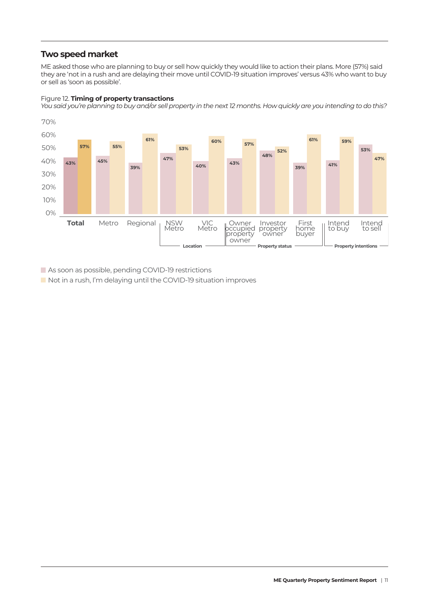# **Two speed market**

Figure 12. **Timing of property transactions** 

ME asked those who are planning to buy or sell how quickly they would like to action their plans. More (57%) said they are 'not in a rush and are delaying their move until COVID-19 situation improves' versus 43% who want to buy or sell as 'soon as possible'.



As soon as possible, pending COVID-19 restrictions

Not in a rush, I'm delaying until the COVID-19 situation improves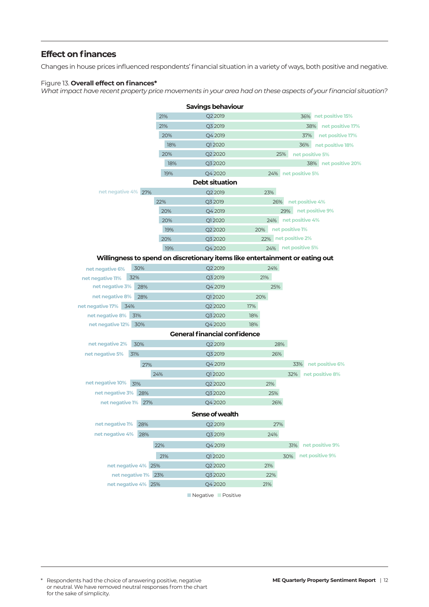# **Effect on finances**

Changes in house prices influenced respondents' financial situation in a variety of ways, both positive and negative.

### Figure 13. **Overall effect on finances\***

*What impact have recent property price movements in your area had on these aspects of your financial situation?*

|                      |     |     | Savings behaviour                                                            |     |                         |
|----------------------|-----|-----|------------------------------------------------------------------------------|-----|-------------------------|
|                      |     | 21% | Q2 2019                                                                      |     | 36% net positive 15%    |
|                      |     | 21% | Q3 2019                                                                      |     | net positive 17%<br>38% |
|                      |     | 20% | Q4 2019                                                                      |     | 37%<br>net positive 17% |
|                      |     | 18% | Q12020                                                                       |     | net positive 18%<br>36% |
|                      |     | 20% | Q2 2020                                                                      |     | 25%<br>net positive 5%  |
|                      |     | 18% | Q3 2020                                                                      |     | 38% net positive 20%    |
|                      |     | 19% | Q4 2020                                                                      |     | 24% net positive 5%     |
|                      |     |     | <b>Debt situation</b>                                                        |     |                         |
| net negative 4% 27%  |     |     | Q2 2019                                                                      | 23% |                         |
|                      |     | 22% | Q3 2019                                                                      | 26% | net positive 4%         |
|                      |     | 20% | Q4 2019                                                                      |     | 29% net positive 9%     |
|                      |     | 20% | Q12020                                                                       |     | 24% net positive 4%     |
|                      |     | 19% | Q2 2020                                                                      | 20% | net positive 1%         |
|                      |     | 20% | Q3 2020                                                                      |     | 22% net positive 2%     |
|                      |     | 19% | Q4 2020                                                                      |     | 24% net positive 5%     |
|                      |     |     | Willingness to spend on discretionary items like entertainment or eating out |     |                         |
| net negative 6%      | 30% |     | Q2 2019                                                                      | 24% |                         |
| net negative 11%     | 32% |     | Q3 2019                                                                      | 21% |                         |
| net negative 3% 28%  |     |     | Q4 2019                                                                      | 25% |                         |
| net negative 8%      | 28% |     | Q12020                                                                       | 20% |                         |
| net negative 17% 34% |     |     | Q2 2020                                                                      | 17% |                         |
| net negative 8% 31%  |     |     | Q3 2020                                                                      | 18% |                         |
| net negative 12% 30% |     |     | Q4 2020                                                                      | 18% |                         |
|                      |     |     | <b>General financial confidence</b>                                          |     |                         |
| net negative 2%      | 30% |     | Q2 2019                                                                      | 28% |                         |
| net negative 5%      | 31% |     | Q3 2019                                                                      | 26% |                         |
|                      | 27% |     | Q4 2019                                                                      |     | net positive 6%<br>33%  |
|                      |     | 24% | Q12020                                                                       |     | net positive 8%<br>32%  |
| net negative 10%     | 31% |     | Q2 2020                                                                      | 21% |                         |
| net negative 3% 28%  |     |     | Q3 2020                                                                      | 25% |                         |
| net negative 1% 27%  |     |     | Q4 2020                                                                      | 26% |                         |
|                      |     |     | Sense of wealth                                                              |     |                         |
| net negative 1% 28%  |     |     | Q2 2019                                                                      | 27% |                         |
| net negative 4%      | 28% |     | Q3 2019                                                                      | 24% |                         |
|                      |     | 22% | Q42019                                                                       |     | net positive 9%<br>31%  |
|                      |     | 21% | Q12020                                                                       |     | net positive 9%<br>30%  |
| net negative 4% 25%  |     |     | Q2 2020                                                                      | 21% |                         |
| net negative 1% 23%  |     |     | Q3 2020                                                                      | 22% |                         |
| net negative 4% 25%  |     |     | Q4 2020                                                                      | 21% |                         |
|                      |     |     |                                                                              |     |                         |

■ Negative ■ Positive

<sup>\*</sup> Respondents had the choice of answering positive, negative or neutral. We have removed neutral responses from the chart for the sake of simplicity.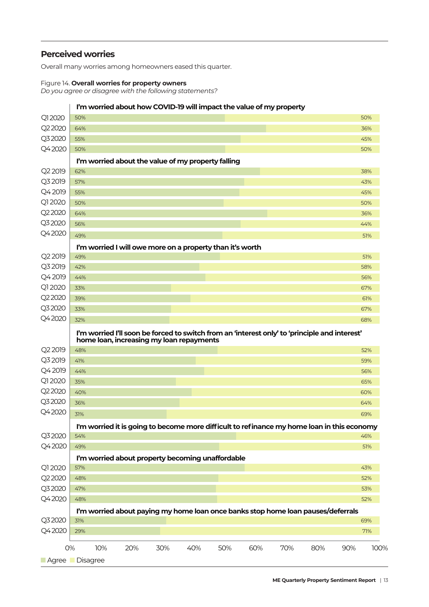# **Perceived worries**

Overall many worries among homeowners eased this quarter.

### Figure 14. **Overall worries for property owners**

*Do you agree or disagree with the following statements?* 

| Q12020<br>50%<br>50%<br>Q22020<br>64%<br>36%<br>Q32020<br>55%<br>45%<br>50%<br>50%<br>I'm worried about the value of my property falling<br>Q2 2019<br>62%<br>38%<br>Q3 2019<br>57%<br>43%<br>Q42019<br>55%<br>45%<br>Q12020<br>50%<br>50%<br>Q2 2020<br>64%<br>36%<br>Q32020<br>56%<br>44%<br>49%<br>51%<br>I'm worried I will owe more on a property than it's worth<br>Q <sub>2</sub> 2019<br>49%<br>51%<br>Q3 2019<br>42%<br>58%<br>Q4 2019<br>44%<br>56%<br>Q12020<br>33%<br>67%<br>Q2 2020<br>39%<br>61%<br>Q32020<br>33%<br>67%<br>Q42020<br>32%<br>68%<br>I'm worried I'll soon be forced to switch from an 'interest only' to 'principle and interest'<br>home loan, increasing my loan repayments<br>Q2 2019<br>48%<br>52%<br>Q3 2019<br>41%<br>59%<br>Q4 2019<br>44%<br>56%<br>Q12020<br>35%<br>65%<br>Q2 2020<br>40%<br>60%<br>Q32020<br>36%<br>64%<br>Q42020<br>31%<br>69%<br>I'm worried it is going to become more difficult to refinance my home loan in this economy<br>Q32020<br>54%<br>46%<br>Q42020<br>49%<br>51%<br>I'm worried about property becoming unaffordable<br>Q1 2020<br>57%<br>43%<br>Q2 2020<br>48%<br>52%<br>Q32020<br>47%<br>53%<br>Q42020<br>48%<br>52%<br>I'm worried about paying my home loan once banks stop home loan pauses/deferrals<br>Q32020<br>69%<br>31%<br>Q42020<br>29%<br>10%<br>20%<br>30%<br>40%<br>50%<br>60%<br>70%<br>80%<br>90%<br>0% |        |  |  | I'm worried about how COVID-19 will impact the value of my property |  |  |      |
|-----------------------------------------------------------------------------------------------------------------------------------------------------------------------------------------------------------------------------------------------------------------------------------------------------------------------------------------------------------------------------------------------------------------------------------------------------------------------------------------------------------------------------------------------------------------------------------------------------------------------------------------------------------------------------------------------------------------------------------------------------------------------------------------------------------------------------------------------------------------------------------------------------------------------------------------------------------------------------------------------------------------------------------------------------------------------------------------------------------------------------------------------------------------------------------------------------------------------------------------------------------------------------------------------------------------------------------------------------------------------------------------------|--------|--|--|---------------------------------------------------------------------|--|--|------|
|                                                                                                                                                                                                                                                                                                                                                                                                                                                                                                                                                                                                                                                                                                                                                                                                                                                                                                                                                                                                                                                                                                                                                                                                                                                                                                                                                                                               |        |  |  |                                                                     |  |  |      |
|                                                                                                                                                                                                                                                                                                                                                                                                                                                                                                                                                                                                                                                                                                                                                                                                                                                                                                                                                                                                                                                                                                                                                                                                                                                                                                                                                                                               |        |  |  |                                                                     |  |  |      |
|                                                                                                                                                                                                                                                                                                                                                                                                                                                                                                                                                                                                                                                                                                                                                                                                                                                                                                                                                                                                                                                                                                                                                                                                                                                                                                                                                                                               |        |  |  |                                                                     |  |  |      |
|                                                                                                                                                                                                                                                                                                                                                                                                                                                                                                                                                                                                                                                                                                                                                                                                                                                                                                                                                                                                                                                                                                                                                                                                                                                                                                                                                                                               | Q42020 |  |  |                                                                     |  |  |      |
|                                                                                                                                                                                                                                                                                                                                                                                                                                                                                                                                                                                                                                                                                                                                                                                                                                                                                                                                                                                                                                                                                                                                                                                                                                                                                                                                                                                               |        |  |  |                                                                     |  |  |      |
|                                                                                                                                                                                                                                                                                                                                                                                                                                                                                                                                                                                                                                                                                                                                                                                                                                                                                                                                                                                                                                                                                                                                                                                                                                                                                                                                                                                               |        |  |  |                                                                     |  |  |      |
|                                                                                                                                                                                                                                                                                                                                                                                                                                                                                                                                                                                                                                                                                                                                                                                                                                                                                                                                                                                                                                                                                                                                                                                                                                                                                                                                                                                               |        |  |  |                                                                     |  |  |      |
|                                                                                                                                                                                                                                                                                                                                                                                                                                                                                                                                                                                                                                                                                                                                                                                                                                                                                                                                                                                                                                                                                                                                                                                                                                                                                                                                                                                               |        |  |  |                                                                     |  |  |      |
|                                                                                                                                                                                                                                                                                                                                                                                                                                                                                                                                                                                                                                                                                                                                                                                                                                                                                                                                                                                                                                                                                                                                                                                                                                                                                                                                                                                               |        |  |  |                                                                     |  |  |      |
|                                                                                                                                                                                                                                                                                                                                                                                                                                                                                                                                                                                                                                                                                                                                                                                                                                                                                                                                                                                                                                                                                                                                                                                                                                                                                                                                                                                               |        |  |  |                                                                     |  |  |      |
|                                                                                                                                                                                                                                                                                                                                                                                                                                                                                                                                                                                                                                                                                                                                                                                                                                                                                                                                                                                                                                                                                                                                                                                                                                                                                                                                                                                               |        |  |  |                                                                     |  |  |      |
|                                                                                                                                                                                                                                                                                                                                                                                                                                                                                                                                                                                                                                                                                                                                                                                                                                                                                                                                                                                                                                                                                                                                                                                                                                                                                                                                                                                               | Q42020 |  |  |                                                                     |  |  |      |
|                                                                                                                                                                                                                                                                                                                                                                                                                                                                                                                                                                                                                                                                                                                                                                                                                                                                                                                                                                                                                                                                                                                                                                                                                                                                                                                                                                                               |        |  |  |                                                                     |  |  |      |
|                                                                                                                                                                                                                                                                                                                                                                                                                                                                                                                                                                                                                                                                                                                                                                                                                                                                                                                                                                                                                                                                                                                                                                                                                                                                                                                                                                                               |        |  |  |                                                                     |  |  |      |
|                                                                                                                                                                                                                                                                                                                                                                                                                                                                                                                                                                                                                                                                                                                                                                                                                                                                                                                                                                                                                                                                                                                                                                                                                                                                                                                                                                                               |        |  |  |                                                                     |  |  |      |
|                                                                                                                                                                                                                                                                                                                                                                                                                                                                                                                                                                                                                                                                                                                                                                                                                                                                                                                                                                                                                                                                                                                                                                                                                                                                                                                                                                                               |        |  |  |                                                                     |  |  |      |
|                                                                                                                                                                                                                                                                                                                                                                                                                                                                                                                                                                                                                                                                                                                                                                                                                                                                                                                                                                                                                                                                                                                                                                                                                                                                                                                                                                                               |        |  |  |                                                                     |  |  |      |
|                                                                                                                                                                                                                                                                                                                                                                                                                                                                                                                                                                                                                                                                                                                                                                                                                                                                                                                                                                                                                                                                                                                                                                                                                                                                                                                                                                                               |        |  |  |                                                                     |  |  |      |
|                                                                                                                                                                                                                                                                                                                                                                                                                                                                                                                                                                                                                                                                                                                                                                                                                                                                                                                                                                                                                                                                                                                                                                                                                                                                                                                                                                                               |        |  |  |                                                                     |  |  |      |
|                                                                                                                                                                                                                                                                                                                                                                                                                                                                                                                                                                                                                                                                                                                                                                                                                                                                                                                                                                                                                                                                                                                                                                                                                                                                                                                                                                                               |        |  |  |                                                                     |  |  |      |
|                                                                                                                                                                                                                                                                                                                                                                                                                                                                                                                                                                                                                                                                                                                                                                                                                                                                                                                                                                                                                                                                                                                                                                                                                                                                                                                                                                                               |        |  |  |                                                                     |  |  |      |
|                                                                                                                                                                                                                                                                                                                                                                                                                                                                                                                                                                                                                                                                                                                                                                                                                                                                                                                                                                                                                                                                                                                                                                                                                                                                                                                                                                                               |        |  |  |                                                                     |  |  |      |
|                                                                                                                                                                                                                                                                                                                                                                                                                                                                                                                                                                                                                                                                                                                                                                                                                                                                                                                                                                                                                                                                                                                                                                                                                                                                                                                                                                                               |        |  |  |                                                                     |  |  |      |
|                                                                                                                                                                                                                                                                                                                                                                                                                                                                                                                                                                                                                                                                                                                                                                                                                                                                                                                                                                                                                                                                                                                                                                                                                                                                                                                                                                                               |        |  |  |                                                                     |  |  |      |
|                                                                                                                                                                                                                                                                                                                                                                                                                                                                                                                                                                                                                                                                                                                                                                                                                                                                                                                                                                                                                                                                                                                                                                                                                                                                                                                                                                                               |        |  |  |                                                                     |  |  |      |
|                                                                                                                                                                                                                                                                                                                                                                                                                                                                                                                                                                                                                                                                                                                                                                                                                                                                                                                                                                                                                                                                                                                                                                                                                                                                                                                                                                                               |        |  |  |                                                                     |  |  |      |
|                                                                                                                                                                                                                                                                                                                                                                                                                                                                                                                                                                                                                                                                                                                                                                                                                                                                                                                                                                                                                                                                                                                                                                                                                                                                                                                                                                                               |        |  |  |                                                                     |  |  |      |
|                                                                                                                                                                                                                                                                                                                                                                                                                                                                                                                                                                                                                                                                                                                                                                                                                                                                                                                                                                                                                                                                                                                                                                                                                                                                                                                                                                                               |        |  |  |                                                                     |  |  |      |
|                                                                                                                                                                                                                                                                                                                                                                                                                                                                                                                                                                                                                                                                                                                                                                                                                                                                                                                                                                                                                                                                                                                                                                                                                                                                                                                                                                                               |        |  |  |                                                                     |  |  |      |
|                                                                                                                                                                                                                                                                                                                                                                                                                                                                                                                                                                                                                                                                                                                                                                                                                                                                                                                                                                                                                                                                                                                                                                                                                                                                                                                                                                                               |        |  |  |                                                                     |  |  |      |
|                                                                                                                                                                                                                                                                                                                                                                                                                                                                                                                                                                                                                                                                                                                                                                                                                                                                                                                                                                                                                                                                                                                                                                                                                                                                                                                                                                                               |        |  |  |                                                                     |  |  |      |
|                                                                                                                                                                                                                                                                                                                                                                                                                                                                                                                                                                                                                                                                                                                                                                                                                                                                                                                                                                                                                                                                                                                                                                                                                                                                                                                                                                                               |        |  |  |                                                                     |  |  |      |
|                                                                                                                                                                                                                                                                                                                                                                                                                                                                                                                                                                                                                                                                                                                                                                                                                                                                                                                                                                                                                                                                                                                                                                                                                                                                                                                                                                                               |        |  |  |                                                                     |  |  |      |
|                                                                                                                                                                                                                                                                                                                                                                                                                                                                                                                                                                                                                                                                                                                                                                                                                                                                                                                                                                                                                                                                                                                                                                                                                                                                                                                                                                                               |        |  |  |                                                                     |  |  |      |
|                                                                                                                                                                                                                                                                                                                                                                                                                                                                                                                                                                                                                                                                                                                                                                                                                                                                                                                                                                                                                                                                                                                                                                                                                                                                                                                                                                                               |        |  |  |                                                                     |  |  |      |
|                                                                                                                                                                                                                                                                                                                                                                                                                                                                                                                                                                                                                                                                                                                                                                                                                                                                                                                                                                                                                                                                                                                                                                                                                                                                                                                                                                                               |        |  |  |                                                                     |  |  |      |
|                                                                                                                                                                                                                                                                                                                                                                                                                                                                                                                                                                                                                                                                                                                                                                                                                                                                                                                                                                                                                                                                                                                                                                                                                                                                                                                                                                                               |        |  |  |                                                                     |  |  |      |
|                                                                                                                                                                                                                                                                                                                                                                                                                                                                                                                                                                                                                                                                                                                                                                                                                                                                                                                                                                                                                                                                                                                                                                                                                                                                                                                                                                                               |        |  |  |                                                                     |  |  |      |
|                                                                                                                                                                                                                                                                                                                                                                                                                                                                                                                                                                                                                                                                                                                                                                                                                                                                                                                                                                                                                                                                                                                                                                                                                                                                                                                                                                                               |        |  |  |                                                                     |  |  |      |
|                                                                                                                                                                                                                                                                                                                                                                                                                                                                                                                                                                                                                                                                                                                                                                                                                                                                                                                                                                                                                                                                                                                                                                                                                                                                                                                                                                                               |        |  |  |                                                                     |  |  |      |
|                                                                                                                                                                                                                                                                                                                                                                                                                                                                                                                                                                                                                                                                                                                                                                                                                                                                                                                                                                                                                                                                                                                                                                                                                                                                                                                                                                                               |        |  |  |                                                                     |  |  | 71%  |
|                                                                                                                                                                                                                                                                                                                                                                                                                                                                                                                                                                                                                                                                                                                                                                                                                                                                                                                                                                                                                                                                                                                                                                                                                                                                                                                                                                                               |        |  |  |                                                                     |  |  | 100% |
| Agree Disagree                                                                                                                                                                                                                                                                                                                                                                                                                                                                                                                                                                                                                                                                                                                                                                                                                                                                                                                                                                                                                                                                                                                                                                                                                                                                                                                                                                                |        |  |  |                                                                     |  |  |      |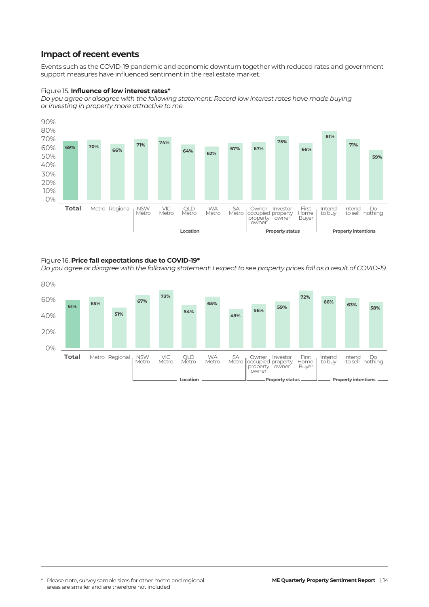### **Impact of recent events**

Events such as the COVID-19 pandemic and economic downturn together with reduced rates and government support measures have influenced sentiment in the real estate market.

### Figure 15. **Influence of low interest rates\***

*Do you agree or disagree with the following statement: Record low interest rates have made buying or investing in property more attractive to me.* 



### Figure 16. **Price fall expectations due to COVID-19\***

*Do you agree or disagree with the following statement: I expect to see property prices fall as a result of COVID-19.*

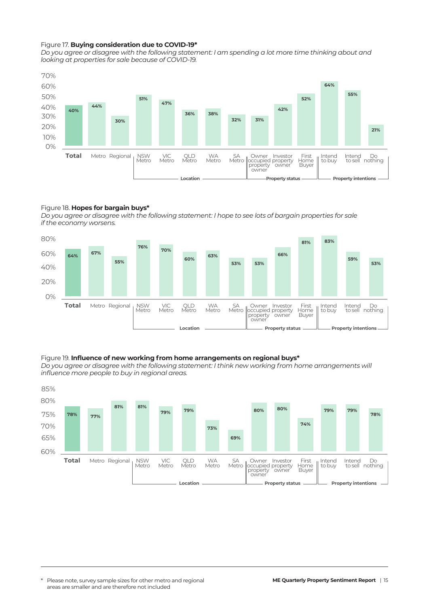### Figure 17. **Buying consideration due to COVID-19\***

*Do you agree or disagree with the following statement: I am spending a lot more time thinking about and looking at properties for sale because of COVID-19.*



### Figure 18. **Hopes for bargain buys\***

*Do you agree or disagree with the following statement: I hope to see lots of bargain properties for sale if the economy worsens.*



### Figure 19. **Influence of new working from home arrangements on regional buys\***

*Do you agree or disagree with the following statement: I think new working from home arrangements will influence more people to buy in regional areas.*

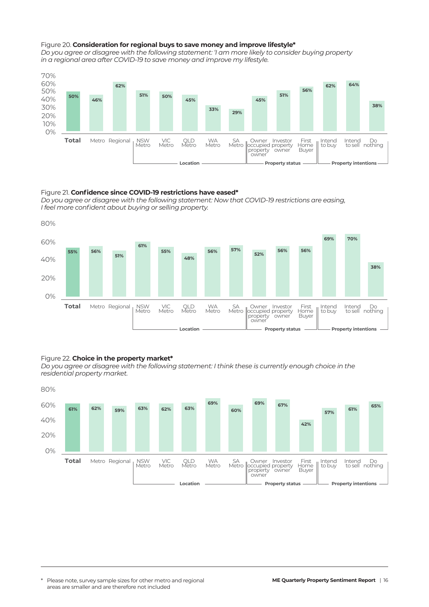#### Figure 20. **Consideration for regional buys to save money and improve lifestyle\***

*Do you agree or disagree with the following statement: 'I am more likely to consider buying property in a regional area after COVID-19 to save money and improve my lifestyle.*



#### Figure 21. **Confidence since COVID-19 restrictions have eased\***

*Do you agree or disagree with the following statement: Now that COVID-19 restrictions are easing, I feel more confident about buying or selling property.*



### Figure 22. **Choice in the property market\***

*Do you agree or disagree with the following statement: I think these is currently enough choice in the residential property market.*

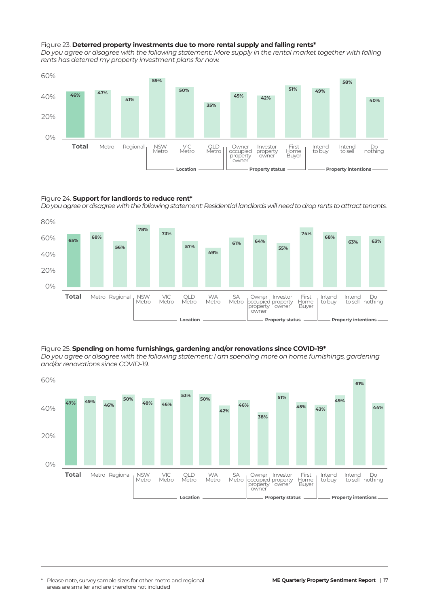#### Figure 23. **Deterred property investments due to more rental supply and falling rents\***

*Do you agree or disagree with the following statement: More supply in the rental market together with falling rents has deterred my property investment plans for now.*



#### Figure 24. **Support for landlords to reduce rent\***

*Do you agree or disagree with the following statement: Residential landlords will need to drop rents to attract tenants.*



Figure 25. **Spending on home furnishings, gardening and/or renovations since COVID-19\***  *Do you agree or disagree with the following statement: I am spending more on home furnishings, gardening and/or renovations since COVID-19.*



\* Please note, survey sample sizes for other metro and regional **ME Quarterly Property Sentiment Report** | 17 areas are smaller and are therefore not included